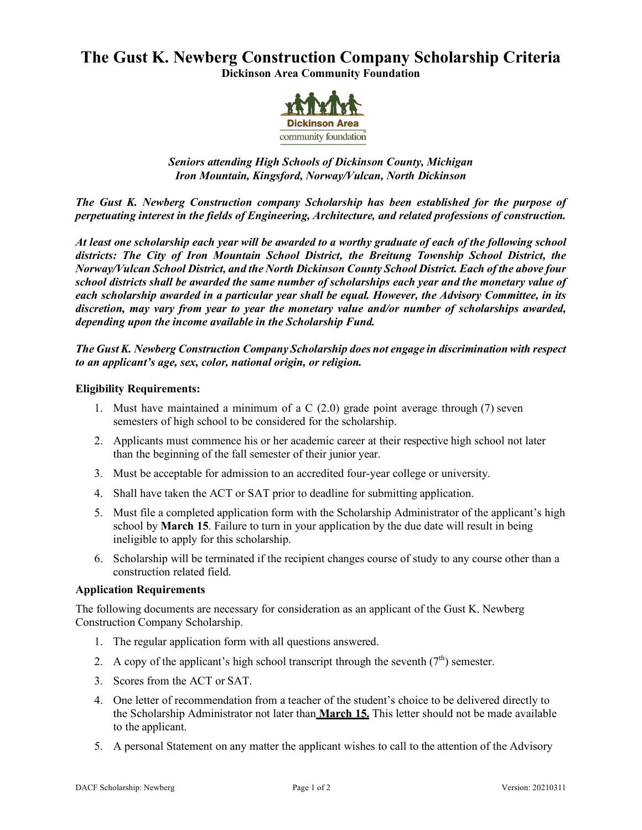# **The Gust K. Newberg Construction Company Scholarship Criteria Dickinson Area Community Foundation**



# *Seniors attending High Schools of Dickinson County, Michigan Iron Mountain, Kingsford, Norway/Vulcan, North Dickinson*

*The Gust K. Newberg Construction company Scholarship has been established for the purpose of perpetuating interest in the fields of Engineering, Architecture, and related professions of construction.*

*At least one scholarship each year will be awarded to a worthy graduate of each of the following school districts: The City of Iron Mountain School District, the Breitung Township School District, the Norway/Vulcan School District, and the North Dickinson County School District. Each of the above four school districts shall be awarded the same number of scholarships each year and the monetary value of each scholarship awarded in a particular year shall be equal. However, the Advisory Committee, in its discretion, may vary from year to year the monetary value and/or number of scholarships awarded, depending upon the income available in the Scholarship Fund.*

# *The Gust K. Newberg Construction Company Scholarship does not engage in discrimination with respect to an applicant's age, sex, color, national origin, or religion.*

## **Eligibility Requirements:**

- 1. Must have maintained a minimum of a C (2.0) grade point average through (7) seven semesters of high school to be considered for the scholarship.
- 2. Applicants must commence his or her academic career at their respective high school not later than the beginning of the fall semester of their junior year.
- 3. Must be acceptable for admission to an accredited four-year college or university.
- 4. Shall have taken the ACT or SAT prior to deadline for submitting application.
- 5. Must file a completed application form with the Scholarship Administrator of the applicant's high school by **March 15**. Failure to turn in your application by the due date will result in being ineligible to apply for this scholarship.
- 6. Scholarship will be terminated if the recipient changes course of study to any course other than a construction related field.

## **Application Requirements**

The following documents are necessary for consideration as an applicant of the Gust K. Newberg Construction Company Scholarship.

- 1. The regular application form with all questions answered.
- 2. A copy of the applicant's high school transcript through the seventh  $(7<sup>th</sup>)$  semester.
- 3. Scores from the ACT or SAT.
- 4. One letter of recommendation from a teacher of the student's choice to be delivered directly to the Scholarship Administrator not later than **March 15.** This letter should not be made available to the applicant.
- 5. A personal Statement on any matter the applicant wishes to call to the attention of the Advisory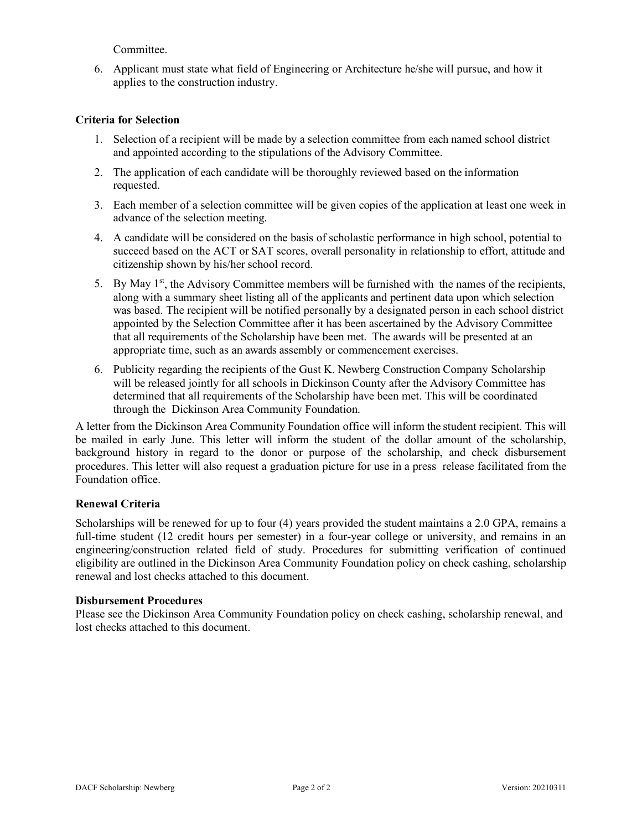Committee.

6. Applicant must state what field of Engineering or Architecture he/she will pursue, and how it applies to the construction industry.

## **Criteria for Selection**

- 1. Selection of a recipient will be made by a selection committee from each named school district and appointed according to the stipulations of the Advisory Committee.
- 2. The application of each candidate will be thoroughly reviewed based on the information requested.
- 3. Each member of a selection committee will be given copies of the application at least one week in advance of the selection meeting.
- 4. A candidate will be considered on the basis of scholastic performance in high school, potential to succeed based on the ACT or SAT scores, overall personality in relationship to effort, attitude and citizenship shown by his/her school record.
- 5. By May  $1<sup>st</sup>$ , the Advisory Committee members will be furnished with the names of the recipients, along with a summary sheet listing all of the applicants and pertinent data upon which selection was based. The recipient will be notified personally by a designated person in each school district appointed by the Selection Committee after it has been ascertained by the Advisory Committee that all requirements of the Scholarship have been met. The awards will be presented at an appropriate time, such as an awards assembly or commencement exercises.
- 6. Publicity regarding the recipients of the Gust K. Newberg Construction Company Scholarship will be released jointly for all schools in Dickinson County after the Advisory Committee has determined that all requirements of the Scholarship have been met. This will be coordinated through the Dickinson Area Community Foundation.

A letter from the Dickinson Area Community Foundation office will inform the student recipient. This will be mailed in early June. This letter will inform the student of the dollar amount of the scholarship, background history in regard to the donor or purpose of the scholarship, and check disbursement procedures. This letter will also request a graduation picture for use in a press release facilitated from the Foundation office.

#### **Renewal Criteria**

Scholarships will be renewed for up to four (4) years provided the student maintains a 2.0 GPA, remains a full-time student (12 credit hours per semester) in a four-year college or university, and remains in an engineering/construction related field of study. Procedures for submitting verification of continued eligibility are outlined in the Dickinson Area Community Foundation policy on check cashing, scholarship renewal and lost checks attached to this document.

#### **Disbursement Procedures**

Please see the Dickinson Area Community Foundation policy on check cashing, scholarship renewal, and lost checks attached to this document.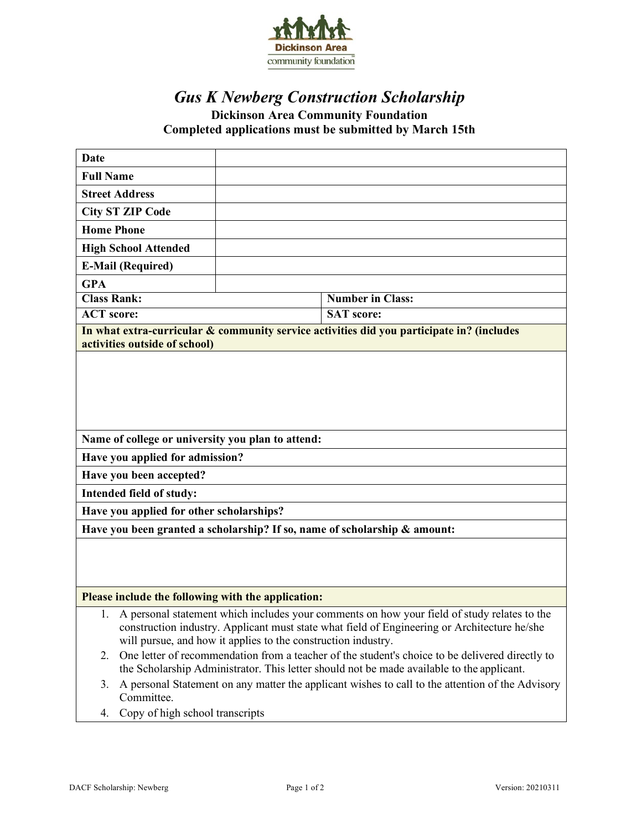

# *Gus K Newberg Construction Scholarship* **Dickinson Area Community Foundation Completed applications must be submitted by March 15th**

| Date                                                                                                                 |                                                               |  |  |
|----------------------------------------------------------------------------------------------------------------------|---------------------------------------------------------------|--|--|
| <b>Full Name</b>                                                                                                     |                                                               |  |  |
| <b>Street Address</b>                                                                                                |                                                               |  |  |
| <b>City ST ZIP Code</b>                                                                                              |                                                               |  |  |
| <b>Home Phone</b>                                                                                                    |                                                               |  |  |
| <b>High School Attended</b>                                                                                          |                                                               |  |  |
| <b>E-Mail (Required)</b>                                                                                             |                                                               |  |  |
| <b>GPA</b>                                                                                                           |                                                               |  |  |
| <b>Class Rank:</b>                                                                                                   | <b>Number in Class:</b>                                       |  |  |
| <b>ACT</b> score:                                                                                                    | <b>SAT</b> score:                                             |  |  |
| In what extra-curricular & community service activities did you participate in? (includes                            |                                                               |  |  |
| activities outside of school)                                                                                        |                                                               |  |  |
|                                                                                                                      |                                                               |  |  |
|                                                                                                                      |                                                               |  |  |
|                                                                                                                      |                                                               |  |  |
|                                                                                                                      |                                                               |  |  |
|                                                                                                                      |                                                               |  |  |
| Name of college or university you plan to attend:                                                                    |                                                               |  |  |
| Have you applied for admission?                                                                                      |                                                               |  |  |
| Have you been accepted?                                                                                              |                                                               |  |  |
| Intended field of study:                                                                                             |                                                               |  |  |
| Have you applied for other scholarships?                                                                             |                                                               |  |  |
| Have you been granted a scholarship? If so, name of scholarship & amount:                                            |                                                               |  |  |
|                                                                                                                      |                                                               |  |  |
|                                                                                                                      |                                                               |  |  |
|                                                                                                                      |                                                               |  |  |
| Please include the following with the application:                                                                   |                                                               |  |  |
| A personal statement which includes your comments on how your field of study relates to the<br>1.                    |                                                               |  |  |
| construction industry. Applicant must state what field of Engineering or Architecture he/she                         |                                                               |  |  |
|                                                                                                                      | will pursue, and how it applies to the construction industry. |  |  |
| One letter of recommendation from a teacher of the student's choice to be delivered directly to<br>2.                |                                                               |  |  |
| the Scholarship Administrator. This letter should not be made available to the applicant.                            |                                                               |  |  |
| A personal Statement on any matter the applicant wishes to call to the attention of the Advisory<br>3.<br>Committee. |                                                               |  |  |
|                                                                                                                      |                                                               |  |  |
| Copy of high school transcripts<br>4.                                                                                |                                                               |  |  |